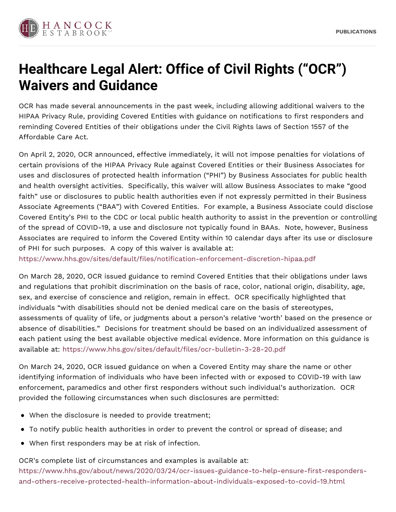

## **Healthcare Legal Alert: Office of Civil Rights ("OCR") Waivers and Guidance**

OCR has made several announcements in the past week, including allowing additional waivers to the HIPAA Privacy Rule, providing Covered Entities with guidance on notifications to first responders and reminding Covered Entities of their obligations under the Civil Rights laws of Section 1557 of the Affordable Care Act.

On April 2, 2020, OCR announced, effective immediately, it will not impose penalties for violations of certain provisions of the HIPAA Privacy Rule against Covered Entities or their Business Associates for uses and disclosures of protected health information ("PHI") by Business Associates for public health and health oversight activities. Specifically, this waiver will allow Business Associates to make "good faith" use or disclosures to public health authorities even if not expressly permitted in their Business Associate Agreements ("BAA") with Covered Entities. For example, a Business Associate could disclose Covered Entity's PHI to the CDC or local public health authority to assist in the prevention or controlling of the spread of COVID-19, a use and disclosure not typically found in BAAs. Note, however, Business Associates are required to inform the Covered Entity within 10 calendar days after its use or disclosure of PHI for such purposes. A copy of this waiver is available at:

<https://www.hhs.gov/sites/default/files/notification-enforcement-discretion-hipaa.pdf>

On March 28, 2020, OCR issued guidance to remind Covered Entities that their obligations under laws and regulations that prohibit discrimination on the basis of race, color, national origin, disability, age, sex, and exercise of conscience and religion, remain in effect. OCR specifically highlighted that individuals "with disabilities should not be denied medical care on the basis of stereotypes, assessments of quality of life, or judgments about a person's relative 'worth' based on the presence or absence of disabilities." Decisions for treatment should be based on an individualized assessment of each patient using the best available objective medical evidence. More information on this guidance is available at: <https://www.hhs.gov/sites/default/files/ocr-bulletin-3-28-20.pdf>

On March 24, 2020, OCR issued guidance on when a Covered Entity may share the name or other identifying information of individuals who have been infected with or exposed to COVID-19 with law enforcement, paramedics and other first responders without such individual's authorization. OCR provided the following circumstances when such disclosures are permitted:

- When the disclosure is needed to provide treatment;
- To notify public health authorities in order to prevent the control or spread of disease; and
- When first responders may be at risk of infection.

OCR's complete list of circumstances and examples is available at: [https://www.hhs.gov/about/news/2020/03/24/ocr-issues-guidance-to-help-ensure-first-responders-](https://www.hhs.gov/about/news/2020/03/24/ocr-issues-guidance-to-help-ensure-first-responders-and-others-receive-protected-health-information-about-individuals-exposed-to-covid-19.html)

and-others-receive-protected-health-information-about-individuals-exposed-to-covid-19.html